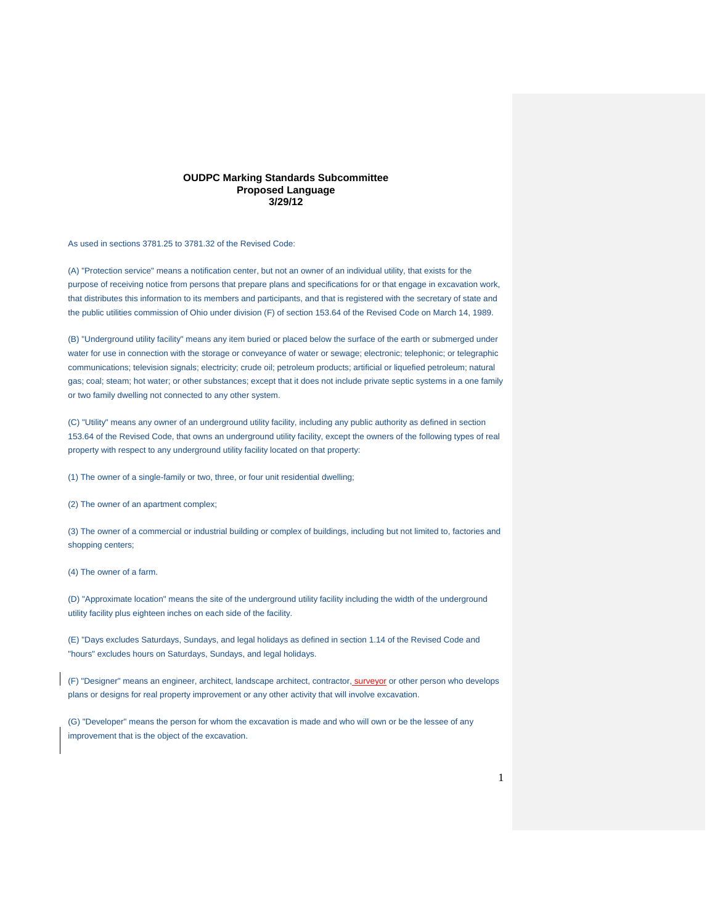#### **OUDPC Marking Standards Subcommittee Proposed Language 3/29/12**

As used in sections 3781.25 to 3781.32 of the Revised Code:

(A) "Protection service" means a notification center, but not an owner of an individual utility, that exists for the purpose of receiving notice from persons that prepare plans and specifications for or that engage in excavation work, that distributes this information to its members and participants, and that is registered with the secretary of state and the public utilities commission of Ohio under division (F) of section 153.64 of the Revised Code on March 14, 1989.

(B) "Underground utility facility" means any item buried or placed below the surface of the earth or submerged under water for use in connection with the storage or conveyance of water or sewage; electronic; telephonic; or telegraphic communications; television signals; electricity; crude oil; petroleum products; artificial or liquefied petroleum; natural gas; coal; steam; hot water; or other substances; except that it does not include private septic systems in a one family or two family dwelling not connected to any other system.

(C) "Utility" means any owner of an underground utility facility, including any public authority as defined in section 153.64 of the Revised Code, that owns an underground utility facility, except the owners of the following types of real property with respect to any underground utility facility located on that property:

(1) The owner of a single-family or two, three, or four unit residential dwelling;

(2) The owner of an apartment complex;

(3) The owner of a commercial or industrial building or complex of buildings, including but not limited to, factories and shopping centers;

(4) The owner of a farm.

(D) "Approximate location" means the site of the underground utility facility including the width of the underground utility facility plus eighteen inches on each side of the facility.

(E) "Days excludes Saturdays, Sundays, and legal holidays as defined in section 1.14 of the Revised Code and "hours" excludes hours on Saturdays, Sundays, and legal holidays.

(F) "Designer" means an engineer, architect, landscape architect, contractor, surveyor or other person who develops plans or designs for real property improvement or any other activity that will involve excavation.

(G) "Developer" means the person for whom the excavation is made and who will own or be the lessee of any improvement that is the object of the excavation.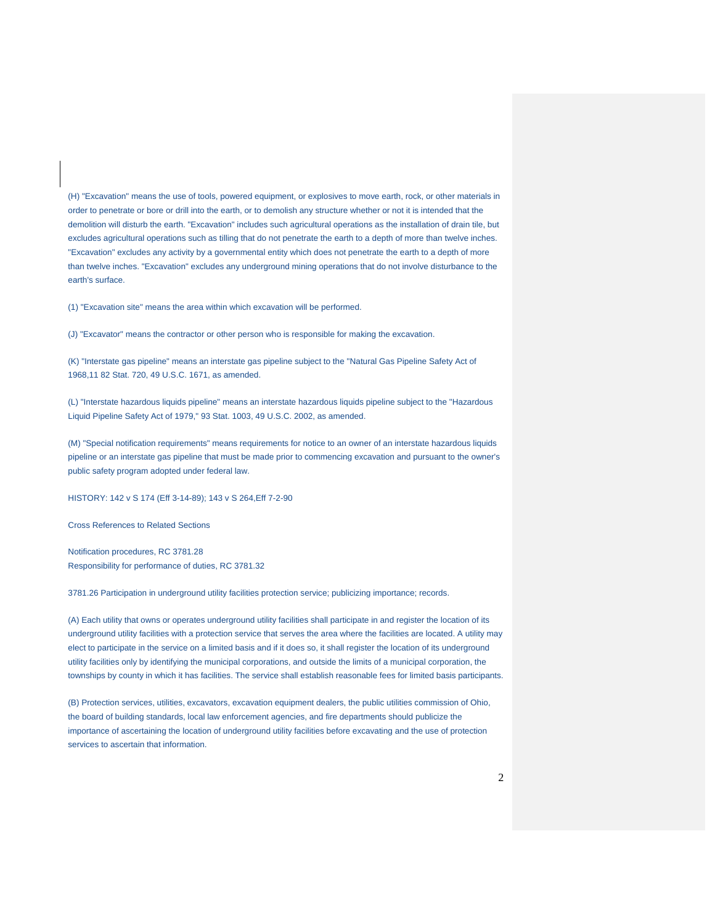(H) "Excavation" means the use of tools, powered equipment, or explosives to move earth, rock, or other materials in order to penetrate or bore or drill into the earth, or to demolish any structure whether or not it is intended that the demolition will disturb the earth. "Excavation" includes such agricultural operations as the installation of drain tile, but excludes agricultural operations such as tilling that do not penetrate the earth to a depth of more than twelve inches. "Excavation" excludes any activity by a governmental entity which does not penetrate the earth to a depth of more than twelve inches. "Excavation" excludes any underground mining operations that do not involve disturbance to the earth's surface.

(1) "Excavation site" means the area within which excavation will be performed.

(J) "Excavator" means the contractor or other person who is responsible for making the excavation.

(K) "Interstate gas pipeline" means an interstate gas pipeline subject to the "Natural Gas Pipeline Safety Act of 1968,11 82 Stat. 720, 49 U.S.C. 1671, as amended.

(L) "Interstate hazardous liquids pipeline" means an interstate hazardous liquids pipeline subject to the "Hazardous Liquid Pipeline Safety Act of 1979," 93 Stat. 1003, 49 U.S.C. 2002, as amended.

(M) "Special notification requirements" means requirements for notice to an owner of an interstate hazardous liquids pipeline or an interstate gas pipeline that must be made prior to commencing excavation and pursuant to the owner's public safety program adopted under federal law.

HISTORY: 142 v S 174 (Eff 3-14-89); 143 v S 264,Eff 7-2-90

Cross References to Related Sections

Notification procedures, RC 3781.28 Responsibility for performance of duties, RC 3781.32

3781.26 Participation in underground utility facilities protection service; publicizing importance; records.

(A) Each utility that owns or operates underground utility facilities shall participate in and register the location of its underground utility facilities with a protection service that serves the area where the facilities are located. A utility may elect to participate in the service on a limited basis and if it does so, it shall register the location of its underground utility facilities only by identifying the municipal corporations, and outside the limits of a municipal corporation, the townships by county in which it has facilities. The service shall establish reasonable fees for limited basis participants.

(B) Protection services, utilities, excavators, excavation equipment dealers, the public utilities commission of Ohio, the board of building standards, local law enforcement agencies, and fire departments should publicize the importance of ascertaining the location of underground utility facilities before excavating and the use of protection services to ascertain that information.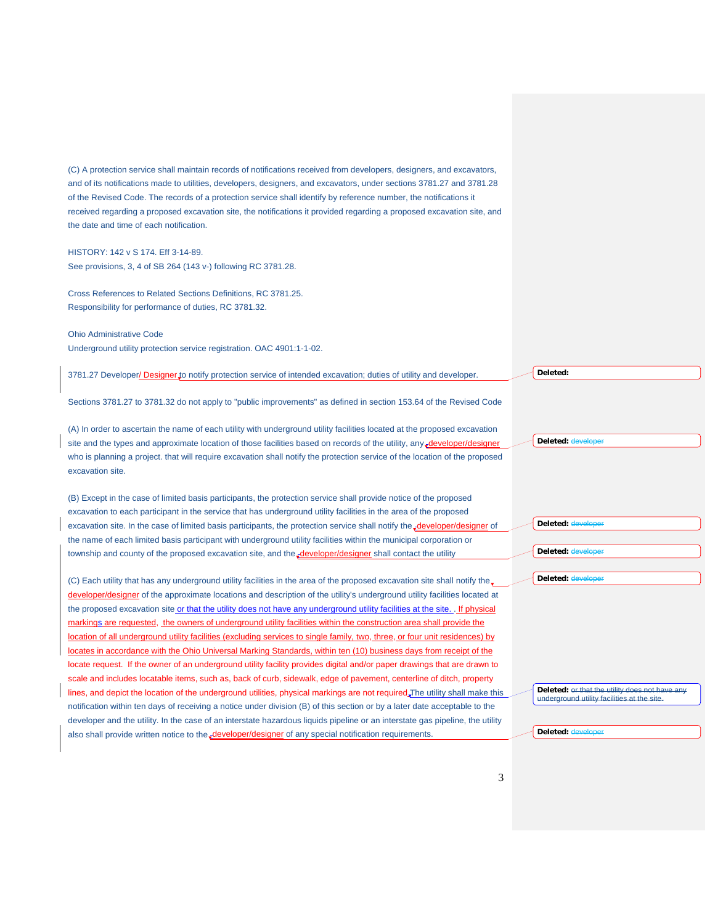(C) A protection service shall maintain records of notifications received from developers, designers, and excavators, and of its notifications made to utilities, developers, designers, and excavators, under sections 3781.27 and 3781.28 of the Revised Code. The records of a protection service shall identify by reference number, the notifications it received regarding a proposed excavation site, the notifications it provided regarding a proposed excavation site, and the date and time of each notification.

HISTORY: 142 v S 174. Eff 3-14-89. See provisions, 3, 4 of SB 264 (143 v-) following RC 3781.28.

Cross References to Related Sections Definitions, RC 3781.25. Responsibility for performance of duties, RC 3781.32.

Ohio Administrative Code Underground utility protection service registration. OAC 4901:1-1-02.

3781.27 Developer/ Designer to notify protection service of intended excavation; duties of utility and developer.

Sections 3781.27 to 3781.32 do not apply to "public improvements" as defined in section 153.64 of the Revised Code

(A) In order to ascertain the name of each utility with underground utility facilities located at the proposed excavation site and the types and approximate location of those facilities based on records of the utility, any *developer/designer/designer/designer/designer/designer/designer/designer/designer/designer/designer/designer/designer/de* who is planning a project. that will require excavation shall notify the protection service of the location of the proposed excavation site.

(B) Except in the case of limited basis participants, the protection service shall provide notice of the proposed excavation to each participant in the service that has underground utility facilities in the area of the proposed excavation site. In the case of limited basis participants, the protection service shall notify the developer/designer of the name of each limited basis participant with underground utility facilities within the municipal corporation or township and county of the proposed excavation site, and the developer/designer shall contact the utility

(C) Each utility that has any underground utility facilities in the area of the proposed excavation site shall notify the developer/designer of the approximate locations and description of the utility's underground utility facilities located at the proposed excavation site or that the utility does not have any underground utility facilities at the site. . If physical markings are requested, the owners of underground utility facilities within the construction area shall provide the location of all underground utility facilities (excluding services to single family, two, three, or four unit residences) by locates in accordance with the Ohio Universal Marking Standards, within ten (10) business days from receipt of the locate request. If the owner of an underground utility facility provides digital and/or paper drawings that are drawn to scale and includes locatable items, such as, back of curb, sidewalk, edge of pavement, centerline of ditch, property lines, and depict the location of the underground utilities, physical markings are not required. The utility shall make this notification within ten days of receiving a notice under division (B) of this section or by a later date acceptable to the developer and the utility. In the case of an interstate hazardous liquids pipeline or an interstate gas pipeline, the utility also shall provide written notice to the developer/designer of any special notification requirements.

**Deleted:** 

Deleted: **developer** 

**Deleted:** de

**Deleted: develope** 

**Deleted:** de

**Deleted:** or that the utility does not have any underground utility facilities at the site. underground utility facilitie

**Deleted:** de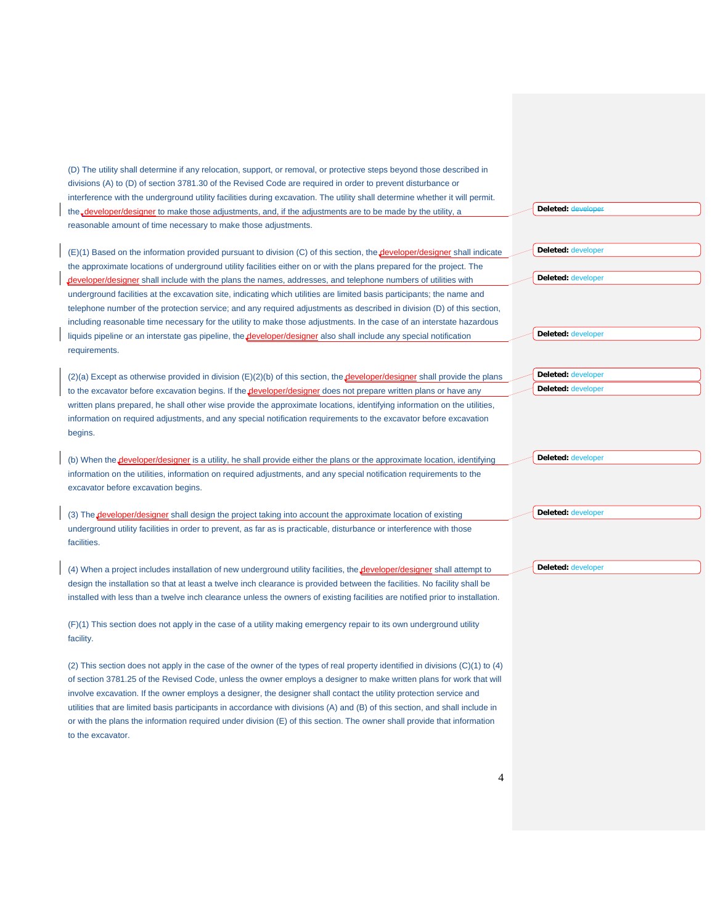(D) The utility shall determine if any relocation, support, or removal, or protective steps beyond those described in divisions (A) to (D) of section 3781.30 of the Revised Code are required in order to prevent disturbance or interference with the underground utility facilities during excavation. The utility shall determine whether it will permit. the developer/designer to make those adjustments, and, if the adjustments are to be made by the utility, a reasonable amount of time necessary to make those adjustments.

(E)(1) Based on the information provided pursuant to division (C) of this section, the developer/designer shall indicate the approximate locations of underground utility facilities either on or with the plans prepared for the project. The developer/designer shall include with the plans the names, addresses, and telephone numbers of utilities with underground facilities at the excavation site, indicating which utilities are limited basis participants; the name and telephone number of the protection service; and any required adjustments as described in division (D) of this section, including reasonable time necessary for the utility to make those adjustments. In the case of an interstate hazardous liquids pipeline or an interstate gas pipeline, the *developer/designer* also shall include any special notification requirements.

 $(2)(a)$  Except as otherwise provided in division  $(E)(2)(b)$  of this section, the **developer/designer** shall provide the plans to the excavator before excavation begins. If the **developer/designer** does not prepare written plans or have any written plans prepared, he shall other wise provide the approximate locations, identifying information on the utilities, information on required adjustments, and any special notification requirements to the excavator before excavation begins.

(b) When the **developer/designer** is a utility, he shall provide either the plans or the approximate location, identifying information on the utilities, information on required adjustments, and any special notification requirements to the excavator before excavation begins.

(3) The **developer/designer** shall design the project taking into account the approximate location of existing underground utility facilities in order to prevent, as far as is practicable, disturbance or interference with those facilities.

(4) When a project includes installation of new underground utility facilities, the developer/designer shall attempt to design the installation so that at least a twelve inch clearance is provided between the facilities. No facility shall be installed with less than a twelve inch clearance unless the owners of existing facilities are notified prior to installation.

(F)(1) This section does not apply in the case of a utility making emergency repair to its own underground utility facility.

(2) This section does not apply in the case of the owner of the types of real property identified in divisions (C)(1) to (4) of section 3781.25 of the Revised Code, unless the owner employs a designer to make written plans for work that will involve excavation. If the owner employs a designer, the designer shall contact the utility protection service and utilities that are limited basis participants in accordance with divisions (A) and (B) of this section, and shall include in or with the plans the information required under division (E) of this section. The owner shall provide that information to the excavator.

Deleted: **dev** 

**Deleted:** developer

**Deleted:** developer

**Deleted:** developer

**Deleted:** developer **Deleted:** developer

**Deleted:** developer

**Deleted:** developer

**Deleted:** developer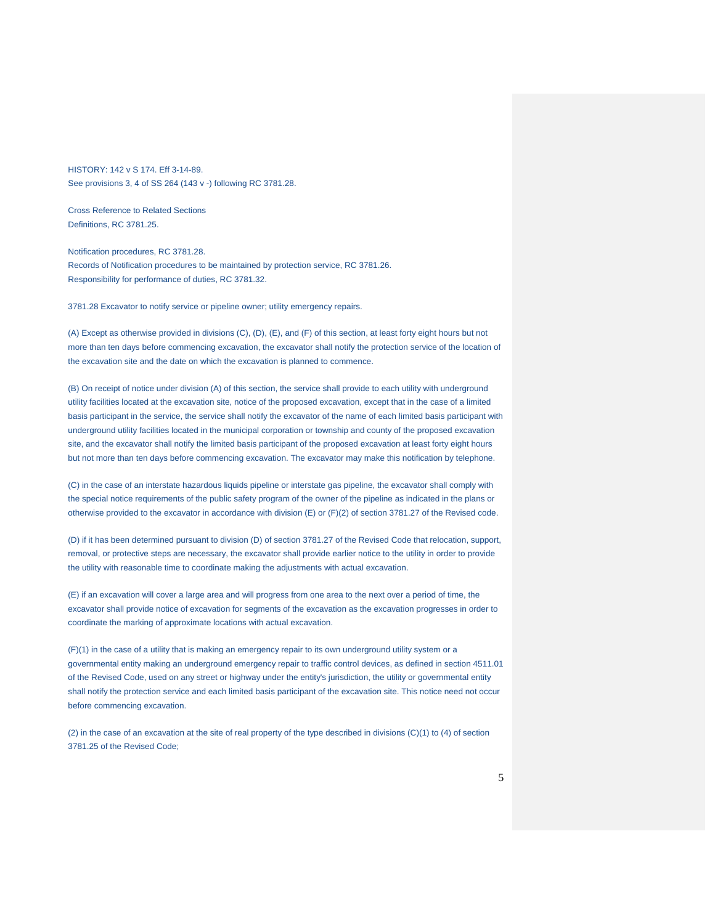HISTORY: 142 v S 174. Eff 3-14-89. See provisions 3, 4 of SS 264 (143 v -) following RC 3781.28.

Cross Reference to Related Sections Definitions, RC 3781.25.

Notification procedures, RC 3781.28. Records of Notification procedures to be maintained by protection service, RC 3781.26. Responsibility for performance of duties, RC 3781.32.

3781.28 Excavator to notify service or pipeline owner; utility emergency repairs.

(A) Except as otherwise provided in divisions (C), (D), (E), and (F) of this section, at least forty eight hours but not more than ten days before commencing excavation, the excavator shall notify the protection service of the location of the excavation site and the date on which the excavation is planned to commence.

(B) On receipt of notice under division (A) of this section, the service shall provide to each utility with underground utility facilities located at the excavation site, notice of the proposed excavation, except that in the case of a limited basis participant in the service, the service shall notify the excavator of the name of each limited basis participant with underground utility facilities located in the municipal corporation or township and county of the proposed excavation site, and the excavator shall notify the limited basis participant of the proposed excavation at least forty eight hours but not more than ten days before commencing excavation. The excavator may make this notification by telephone.

(C) in the case of an interstate hazardous liquids pipeline or interstate gas pipeline, the excavator shall comply with the special notice requirements of the public safety program of the owner of the pipeline as indicated in the plans or otherwise provided to the excavator in accordance with division (E) or (F)(2) of section 3781.27 of the Revised code.

(D) if it has been determined pursuant to division (D) of section 3781.27 of the Revised Code that relocation, support, removal, or protective steps are necessary, the excavator shall provide earlier notice to the utility in order to provide the utility with reasonable time to coordinate making the adjustments with actual excavation.

(E) if an excavation will cover a large area and will progress from one area to the next over a period of time, the excavator shall provide notice of excavation for segments of the excavation as the excavation progresses in order to coordinate the marking of approximate locations with actual excavation.

(F)(1) in the case of a utility that is making an emergency repair to its own underground utility system or a governmental entity making an underground emergency repair to traffic control devices, as defined in section 4511.01 of the Revised Code, used on any street or highway under the entity's jurisdiction, the utility or governmental entity shall notify the protection service and each limited basis participant of the excavation site. This notice need not occur before commencing excavation.

(2) in the case of an excavation at the site of real property of the type described in divisions (C)(1) to (4) of section 3781.25 of the Revised Code;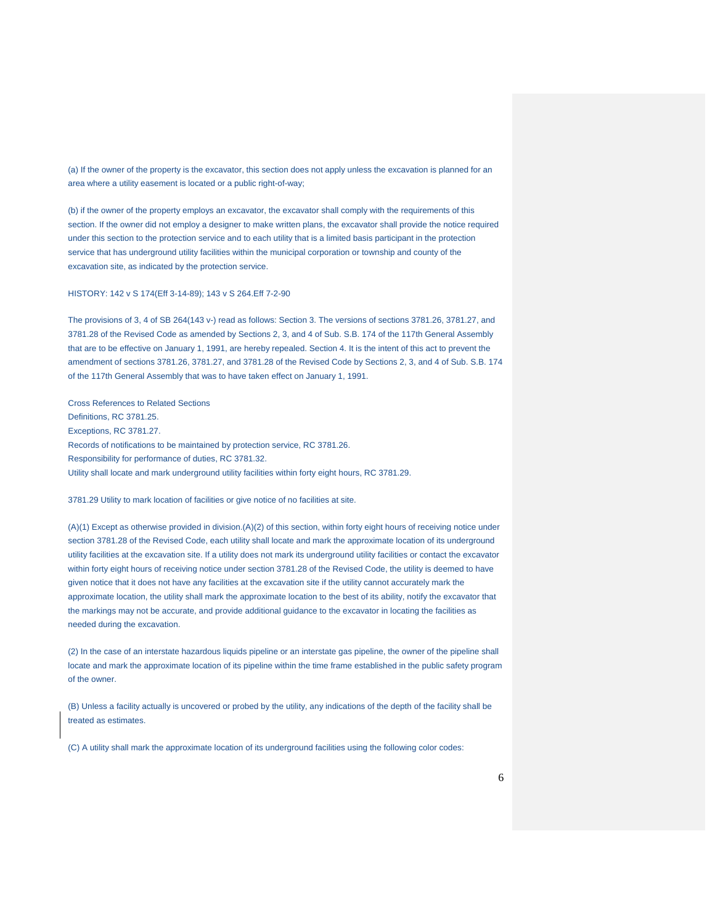(a) If the owner of the property is the excavator, this section does not apply unless the excavation is planned for an area where a utility easement is located or a public right-of-way;

(b) if the owner of the property employs an excavator, the excavator shall comply with the requirements of this section. If the owner did not employ a designer to make written plans, the excavator shall provide the notice required under this section to the protection service and to each utility that is a limited basis participant in the protection service that has underground utility facilities within the municipal corporation or township and county of the excavation site, as indicated by the protection service.

#### HISTORY: 142 v S 174(Eff 3-14-89); 143 v S 264.Eff 7-2-90

The provisions of 3, 4 of SB 264(143 v-) read as follows: Section 3. The versions of sections 3781.26, 3781.27, and 3781.28 of the Revised Code as amended by Sections 2, 3, and 4 of Sub. S.B. 174 of the 117th General Assembly that are to be effective on January 1, 1991, are hereby repealed. Section 4. It is the intent of this act to prevent the amendment of sections 3781.26, 3781.27, and 3781.28 of the Revised Code by Sections 2, 3, and 4 of Sub. S.B. 174 of the 117th General Assembly that was to have taken effect on January 1, 1991.

Cross References to Related Sections Definitions, RC 3781.25. Exceptions, RC 3781.27. Records of notifications to be maintained by protection service, RC 3781.26. Responsibility for performance of duties, RC 3781.32. Utility shall locate and mark underground utility facilities within forty eight hours, RC 3781.29.

#### 3781.29 Utility to mark location of facilities or give notice of no facilities at site.

(A)(1) Except as otherwise provided in division.(A)(2) of this section, within forty eight hours of receiving notice under section 3781.28 of the Revised Code, each utility shall locate and mark the approximate location of its underground utility facilities at the excavation site. If a utility does not mark its underground utility facilities or contact the excavator within forty eight hours of receiving notice under section 3781.28 of the Revised Code, the utility is deemed to have given notice that it does not have any facilities at the excavation site if the utility cannot accurately mark the approximate location, the utility shall mark the approximate location to the best of its ability, notify the excavator that the markings may not be accurate, and provide additional guidance to the excavator in locating the facilities as needed during the excavation.

(2) In the case of an interstate hazardous liquids pipeline or an interstate gas pipeline, the owner of the pipeline shall locate and mark the approximate location of its pipeline within the time frame established in the public safety program of the owner.

(B) Unless a facility actually is uncovered or probed by the utility, any indications of the depth of the facility shall be treated as estimates.

(C) A utility shall mark the approximate location of its underground facilities using the following color codes: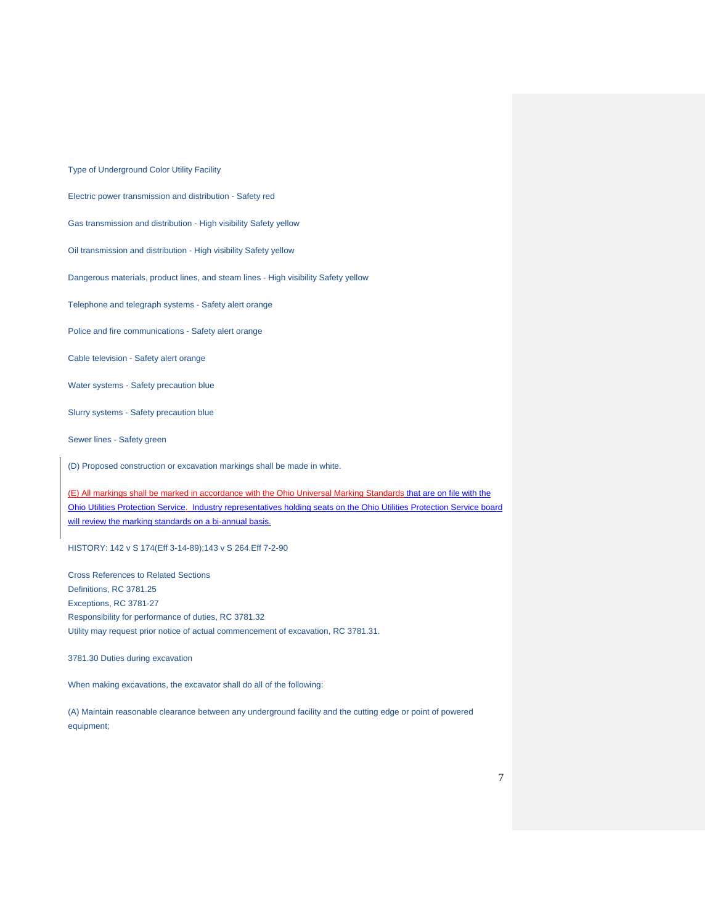Type of Underground Color Utility Facility

Electric power transmission and distribution - Safety red

Gas transmission and distribution - High visibility Safety yellow

Oil transmission and distribution - High visibility Safety yellow

Dangerous materials, product lines, and steam lines - High visibility Safety yellow

Telephone and telegraph systems - Safety alert orange

Police and fire communications - Safety alert orange

Cable television - Safety alert orange

Water systems - Safety precaution blue

Slurry systems - Safety precaution blue

Sewer lines - Safety green

(D) Proposed construction or excavation markings shall be made in white.

(E) All markings shall be marked in accordance with the Ohio Universal Marking Standards that are on file with the Ohio Utilities Protection Service. Industry representatives holding seats on the Ohio Utilities Protection Service board will review the marking standards on a bi-annual basis.

HISTORY: 142 v S 174(Eff 3-14-89);143 v S 264.Eff 7-2-90

Cross References to Related Sections Definitions, RC 3781.25 Exceptions, RC 3781-27 Responsibility for performance of duties, RC 3781.32 Utility may request prior notice of actual commencement of excavation, RC 3781.31.

3781.30 Duties during excavation

When making excavations, the excavator shall do all of the following:

(A) Maintain reasonable clearance between any underground facility and the cutting edge or point of powered equipment;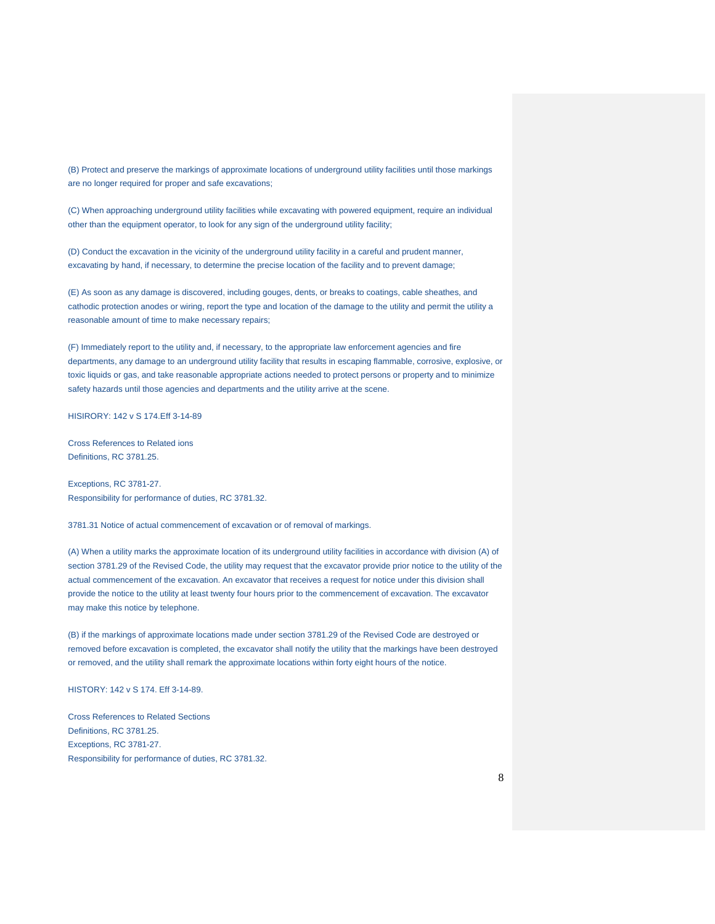(B) Protect and preserve the markings of approximate locations of underground utility facilities until those markings are no longer required for proper and safe excavations;

(C) When approaching underground utility facilities while excavating with powered equipment, require an individual other than the equipment operator, to look for any sign of the underground utility facility;

(D) Conduct the excavation in the vicinity of the underground utility facility in a careful and prudent manner, excavating by hand, if necessary, to determine the precise location of the facility and to prevent damage;

(E) As soon as any damage is discovered, including gouges, dents, or breaks to coatings, cable sheathes, and cathodic protection anodes or wiring, report the type and location of the damage to the utility and permit the utility a reasonable amount of time to make necessary repairs;

(F) Immediately report to the utility and, if necessary, to the appropriate law enforcement agencies and fire departments, any damage to an underground utility facility that results in escaping flammable, corrosive, explosive, or toxic liquids or gas, and take reasonable appropriate actions needed to protect persons or property and to minimize safety hazards until those agencies and departments and the utility arrive at the scene.

HISIRORY: 142 v S 174.Eff 3-14-89

Cross References to Related ions Definitions, RC 3781.25.

Exceptions, RC 3781-27. Responsibility for performance of duties, RC 3781.32.

3781.31 Notice of actual commencement of excavation or of removal of markings.

(A) When a utility marks the approximate location of its underground utility facilities in accordance with division (A) of section 3781.29 of the Revised Code, the utility may request that the excavator provide prior notice to the utility of the actual commencement of the excavation. An excavator that receives a request for notice under this division shall provide the notice to the utility at least twenty four hours prior to the commencement of excavation. The excavator may make this notice by telephone.

(B) if the markings of approximate locations made under section 3781.29 of the Revised Code are destroyed or removed before excavation is completed, the excavator shall notify the utility that the markings have been destroyed or removed, and the utility shall remark the approximate locations within forty eight hours of the notice.

HISTORY: 142 v S 174. Eff 3-14-89.

Cross References to Related Sections Definitions, RC 3781.25. Exceptions, RC 3781-27. Responsibility for performance of duties, RC 3781.32.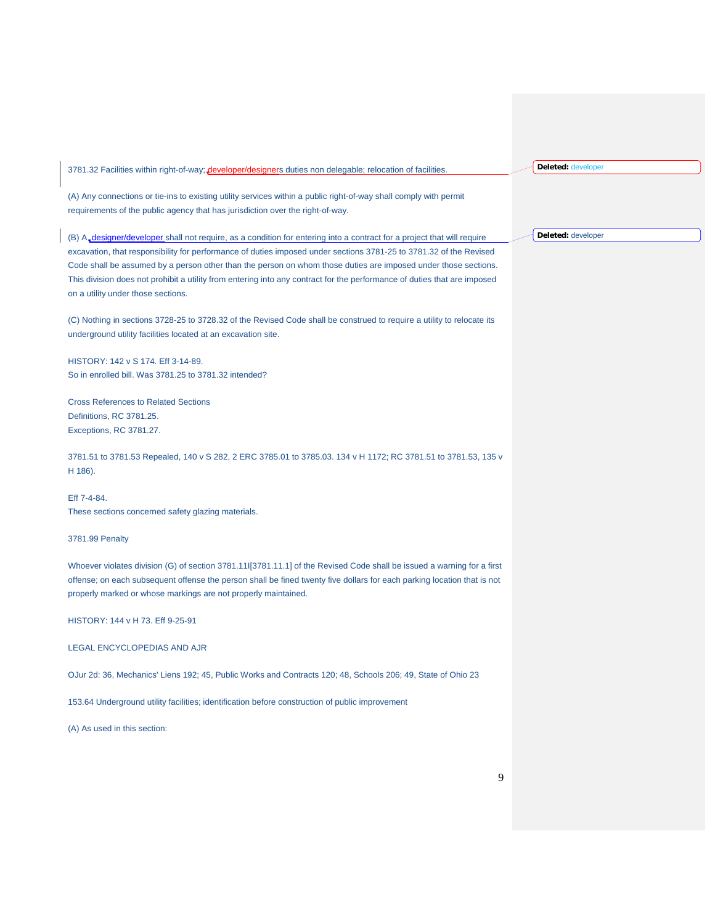3781.32 Facilities within right-of-way; developer/designers duties non delegable; relocation of facilities.

(A) Any connections or tie-ins to existing utility services within a public right-of-way shall comply with permit requirements of the public agency that has jurisdiction over the right-of-way.

(B) A<sub>rdesigner/developer shall not require, as a condition for entering into a contract for a project that will require</sub> excavation, that responsibility for performance of duties imposed under sections 3781-25 to 3781.32 of the Revised Code shall be assumed by a person other than the person on whom those duties are imposed under those sections. This division does not prohibit a utility from entering into any contract for the performance of duties that are imposed on a utility under those sections.

(C) Nothing in sections 3728-25 to 3728.32 of the Revised Code shall be construed to require a utility to relocate its underground utility facilities located at an excavation site.

HISTORY: 142 v S 174. Eff 3-14-89. So in enrolled bill. Was 3781.25 to 3781.32 intended?

Cross References to Related Sections Definitions, RC 3781.25. Exceptions, RC 3781.27.

3781.51 to 3781.53 Repealed, 140 v S 282, 2 ERC 3785.01 to 3785.03. 134 v H 1172; RC 3781.51 to 3781.53, 135 v H 186).

Eff 7-4-84. These sections concerned safety glazing materials.

3781.99 Penalty

Whoever violates division (G) of section 3781.11I[3781.11.1] of the Revised Code shall be issued a warning for a first offense; on each subsequent offense the person shall be fined twenty five dollars for each parking location that is not properly marked or whose markings are not properly maintained.

HISTORY: 144 v H 73. Eff 9-25-91

LEGAL ENCYCLOPEDIAS AND AJR

OJur 2d: 36, Mechanics' Liens 192; 45, Public Works and Contracts 120; 48, Schools 206; 49, State of Ohio 23

153.64 Underground utility facilities; identification before construction of public improvement

(A) As used in this section:

**Deleted:** developer

**Deleted:** developer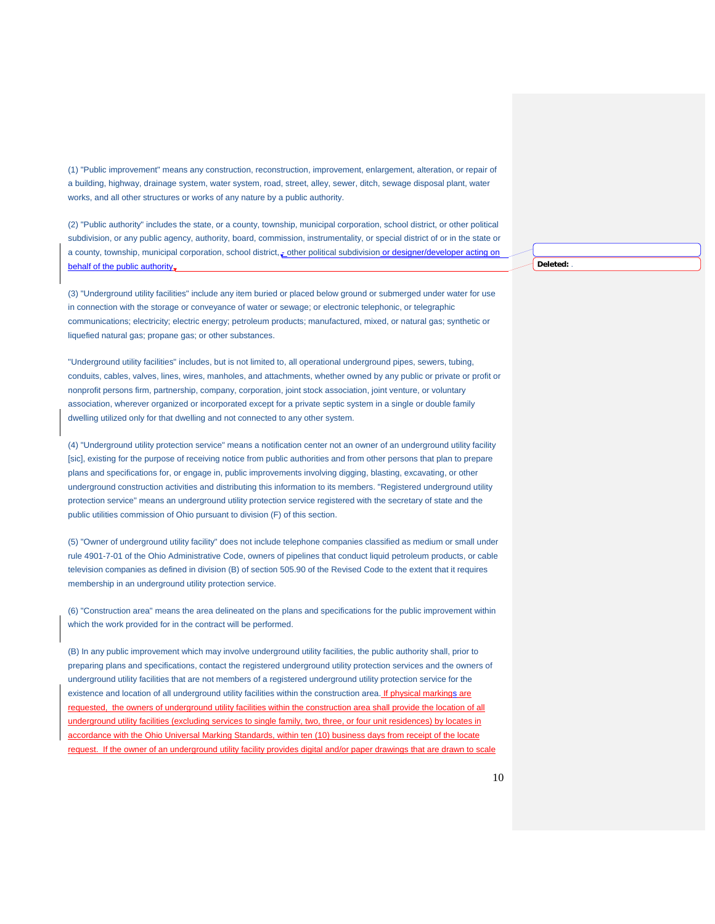(1) "Public improvement" means any construction, reconstruction, improvement, enlargement, alteration, or repair of a building, highway, drainage system, water system, road, street, alley, sewer, ditch, sewage disposal plant, water works, and all other structures or works of any nature by a public authority.

(2) "Public authority" includes the state, or a county, township, municipal corporation, school district, or other political subdivision, or any public agency, authority, board, commission, instrumentality, or special district of or in the state or a county, township, municipal corporation, school district, - other political subdivision or designer/developer a behalf of the public authority.

(3) "Underground utility facilities" include any item buried or placed below ground or submerged under water for use in connection with the storage or conveyance of water or sewage; or electronic telephonic, or telegraphic communications; electricity; electric energy; petroleum products; manufactured, mixed, or natural gas; synthetic or liquefied natural gas; propane gas; or other substances.

"Underground utility facilities" includes, but is not limited to, all operational underground pipes, sewers, tubing, conduits, cables, valves, lines, wires, manholes, and attachments, whether owned by any public or private or profit or nonprofit persons firm, partnership, company, corporation, joint stock association, joint venture, or voluntary association, wherever organized or incorporated except for a private septic system in a single or double family dwelling utilized only for that dwelling and not connected to any other system.

(4) "Underground utility protection service" means a notification center not an owner of an underground utility facility [sic], existing for the purpose of receiving notice from public authorities and from other persons that plan to prepare plans and specifications for, or engage in, public improvements involving digging, blasting, excavating, or other underground construction activities and distributing this information to its members. "Registered underground utility protection service" means an underground utility protection service registered with the secretary of state and the public utilities commission of Ohio pursuant to division (F) of this section.

(5) "Owner of underground utility facility" does not include telephone companies classified as medium or small under rule 4901-7-01 of the Ohio Administrative Code, owners of pipelines that conduct liquid petroleum products, or cable television companies as defined in division (B) of section 505.90 of the Revised Code to the extent that it requires membership in an underground utility protection service.

(6) "Construction area" means the area delineated on the plans and specifications for the public improvement within which the work provided for in the contract will be performed.

(B) In any public improvement which may involve underground utility facilities, the public authority shall, prior to preparing plans and specifications, contact the registered underground utility protection services and the owners of underground utility facilities that are not members of a registered underground utility protection service for the existence and location of all underground utility facilities within the construction area. If physical markings are requested, the owners of underground utility facilities within the construction area shall provide the location of all underground utility facilities (excluding services to single family, two, three, or four unit residences) by locates in accordance with the Ohio Universal Marking Standards, within ten (10) business days from receipt of the locate request. If the owner of an underground utility facility provides digital and/or paper drawings that are drawn to scale **Deleted:** .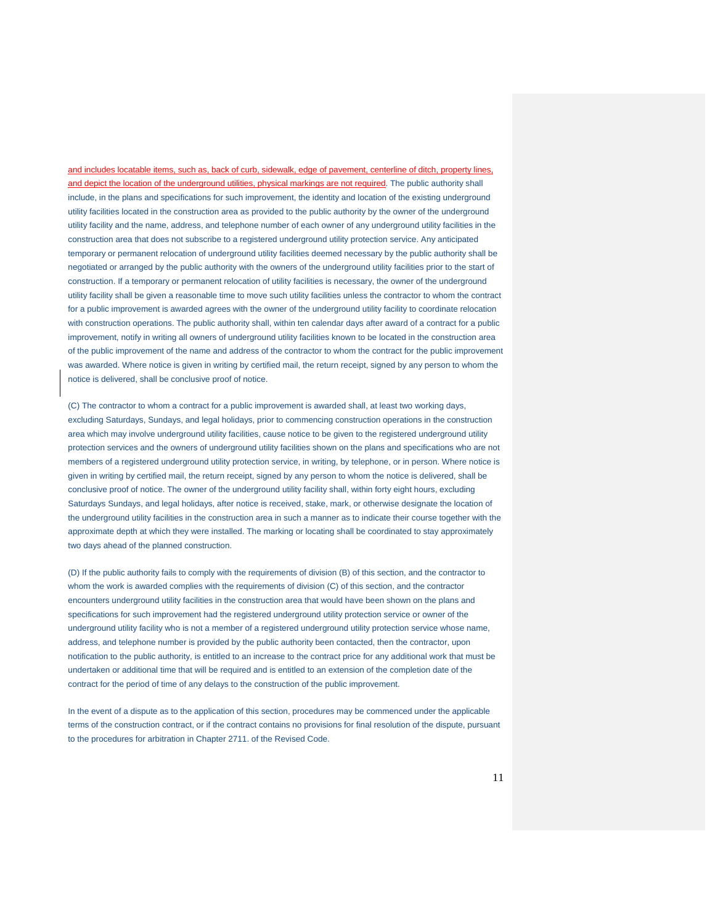and includes locatable items, such as, back of curb, sidewalk, edge of pavement, centerline of ditch, property lines, and depict the location of the underground utilities, physical markings are not required. The public authority shall include, in the plans and specifications for such improvement, the identity and location of the existing underground utility facilities located in the construction area as provided to the public authority by the owner of the underground utility facility and the name, address, and telephone number of each owner of any underground utility facilities in the construction area that does not subscribe to a registered underground utility protection service. Any anticipated temporary or permanent relocation of underground utility facilities deemed necessary by the public authority shall be negotiated or arranged by the public authority with the owners of the underground utility facilities prior to the start of construction. If a temporary or permanent relocation of utility facilities is necessary, the owner of the underground utility facility shall be given a reasonable time to move such utility facilities unless the contractor to whom the contract for a public improvement is awarded agrees with the owner of the underground utility facility to coordinate relocation with construction operations. The public authority shall, within ten calendar days after award of a contract for a public improvement, notify in writing all owners of underground utility facilities known to be located in the construction area of the public improvement of the name and address of the contractor to whom the contract for the public improvement was awarded. Where notice is given in writing by certified mail, the return receipt, signed by any person to whom the notice is delivered, shall be conclusive proof of notice.

(C) The contractor to whom a contract for a public improvement is awarded shall, at least two working days, excluding Saturdays, Sundays, and legal holidays, prior to commencing construction operations in the construction area which may involve underground utility facilities, cause notice to be given to the registered underground utility protection services and the owners of underground utility facilities shown on the plans and specifications who are not members of a registered underground utility protection service, in writing, by telephone, or in person. Where notice is given in writing by certified mail, the return receipt, signed by any person to whom the notice is delivered, shall be conclusive proof of notice. The owner of the underground utility facility shall, within forty eight hours, excluding Saturdays Sundays, and legal holidays, after notice is received, stake, mark, or otherwise designate the location of the underground utility facilities in the construction area in such a manner as to indicate their course together with the approximate depth at which they were installed. The marking or locating shall be coordinated to stay approximately two days ahead of the planned construction.

(D) If the public authority fails to comply with the requirements of division (B) of this section, and the contractor to whom the work is awarded complies with the requirements of division (C) of this section, and the contractor encounters underground utility facilities in the construction area that would have been shown on the plans and specifications for such improvement had the registered underground utility protection service or owner of the underground utility facility who is not a member of a registered underground utility protection service whose name, address, and telephone number is provided by the public authority been contacted, then the contractor, upon notification to the public authority, is entitled to an increase to the contract price for any additional work that must be undertaken or additional time that will be required and is entitled to an extension of the completion date of the contract for the period of time of any delays to the construction of the public improvement.

In the event of a dispute as to the application of this section, procedures may be commenced under the applicable terms of the construction contract, or if the contract contains no provisions for final resolution of the dispute, pursuant to the procedures for arbitration in Chapter 2711. of the Revised Code.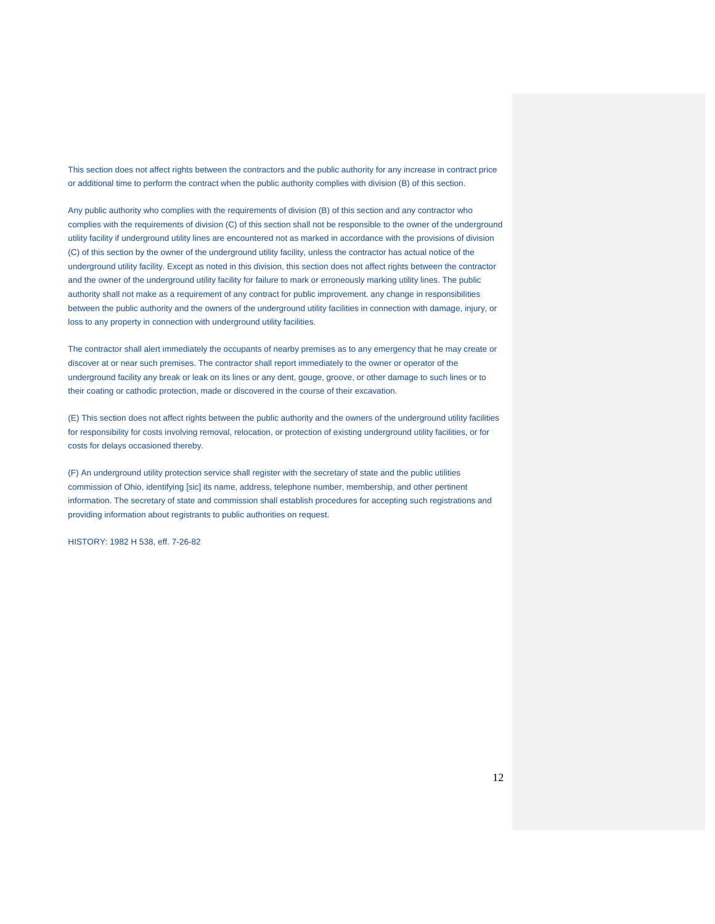This section does not affect rights between the contractors and the public authority for any increase in contract price or additional time to perform the contract when the public authority complies with division (B) of this section.

Any public authority who complies with the requirements of division (B) of this section and any contractor who complies with the requirements of division (C) of this section shall not be responsible to the owner of the underground utility facility if underground utility lines are encountered not as marked in accordance with the provisions of division (C) of this section by the owner of the underground utility facility, unless the contractor has actual notice of the underground utility facility. Except as noted in this division, this section does not affect rights between the contractor and the owner of the underground utility facility for failure to mark or erroneously marking utility lines. The public authority shall not make as a requirement of any contract for public improvement. any change in responsibilities between the public authority and the owners of the underground utility facilities in connection with damage, injury, or loss to any property in connection with underground utility facilities.

The contractor shall alert immediately the occupants of nearby premises as to any emergency that he may create or discover at or near such premises. The contractor shall report immediately to the owner or operator of the underground facility any break or leak on its lines or any dent, gouge, groove, or other damage to such lines or to their coating or cathodic protection, made or discovered in the course of their excavation.

(E) This section does not affect rights between the public authority and the owners of the underground utility facilities for responsibility for costs involving removal, relocation, or protection of existing underground utility facilities, or for costs for delays occasioned thereby.

(F) An underground utility protection service shall register with the secretary of state and the public utilities commission of Ohio, identifying [sic] its name, address, telephone number, membership, and other pertinent information. The secretary of state and commission shall establish procedures for accepting such registrations and providing information about registrants to public authorities on request.

HISTORY: 1982 H 538, eff. 7-26-82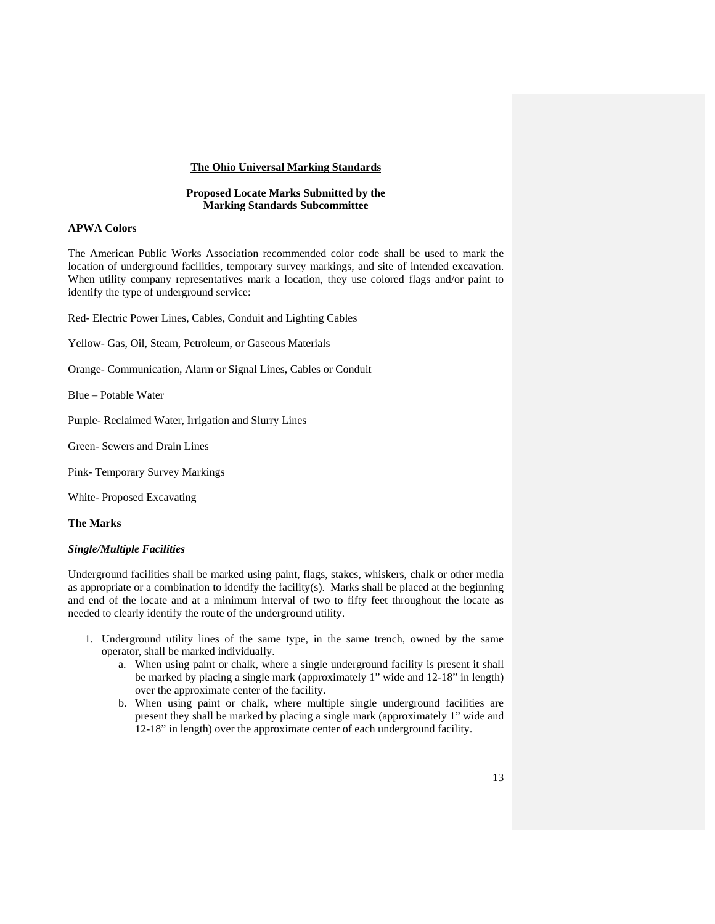# **The Ohio Universal Marking Standards**

#### **Proposed Locate Marks Submitted by the Marking Standards Subcommittee**

### **APWA Colors**

The American Public Works Association recommended color code shall be used to mark the location of underground facilities, temporary survey markings, and site of intended excavation. When utility company representatives mark a location, they use colored flags and/or paint to identify the type of underground service:

Red- Electric Power Lines, Cables, Conduit and Lighting Cables

Yellow- Gas, Oil, Steam, Petroleum, or Gaseous Materials

Orange- Communication, Alarm or Signal Lines, Cables or Conduit

Blue – Potable Water

Purple- Reclaimed Water, Irrigation and Slurry Lines

Green- Sewers and Drain Lines

Pink- Temporary Survey Markings

White- Proposed Excavating

**The Marks**

# *Single/Multiple Facilities*

Underground facilities shall be marked using paint, flags, stakes, whiskers, chalk or other media as appropriate or a combination to identify the facility(s). Marks shall be placed at the beginning and end of the locate and at a minimum interval of two to fifty feet throughout the locate as needed to clearly identify the route of the underground utility.

- 1. Underground utility lines of the same type, in the same trench, owned by the same operator, shall be marked individually.
	- a. When using paint or chalk, where a single underground facility is present it shall be marked by placing a single mark (approximately 1" wide and 12-18" in length) over the approximate center of the facility.
	- b. When using paint or chalk, where multiple single underground facilities are present they shall be marked by placing a single mark (approximately 1" wide and 12-18" in length) over the approximate center of each underground facility.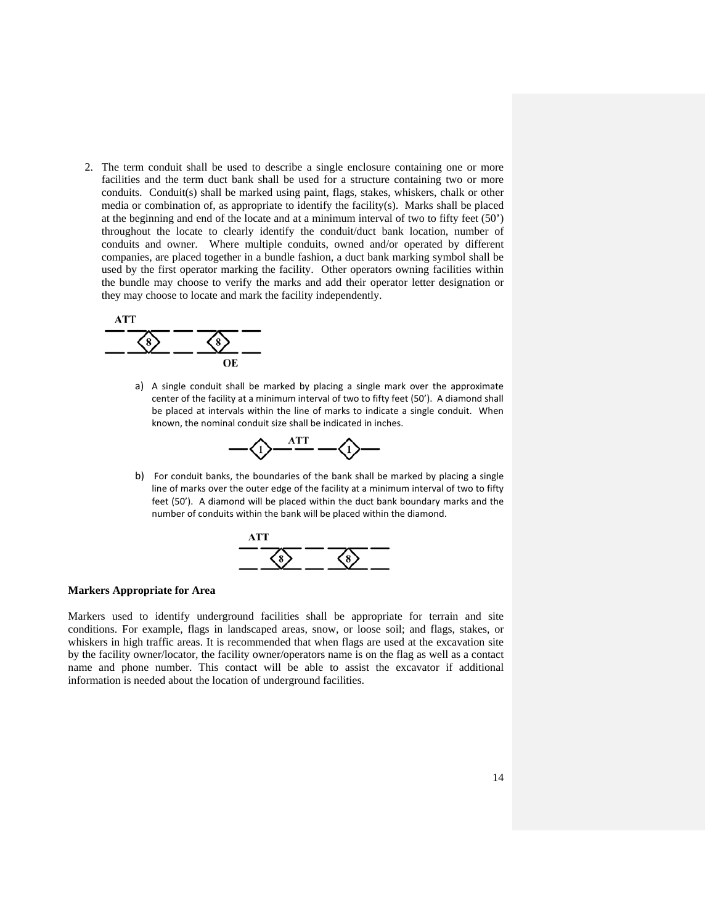2. The term conduit shall be used to describe a single enclosure containing one or more facilities and the term duct bank shall be used for a structure containing two or more conduits. Conduit(s) shall be marked using paint, flags, stakes, whiskers, chalk or other media or combination of, as appropriate to identify the facility(s). Marks shall be placed at the beginning and end of the locate and at a minimum interval of two to fifty feet (50') throughout the locate to clearly identify the conduit/duct bank location, number of conduits and owner. Where multiple conduits, owned and/or operated by different companies, are placed together in a bundle fashion, a duct bank marking symbol shall be used by the first operator marking the facility. Other operators owning facilities within the bundle may choose to verify the marks and add their operator letter designation or they may choose to locate and mark the facility independently.



a) A single conduit shall be marked by placing a single mark over the approximate center of the facility at a minimum interval of two to fifty feet (50'). A diamond shall be placed at intervals within the line of marks to indicate a single conduit. When known, the nominal conduit size shall be indicated in inches.

$$
-\bigl\langle\bigl\langle\bigl\rangle\bigr\rangle^{\text{ATT}}-\bigl\langle\bigl\rangle\bigl\rangle-
$$

b) For conduit banks, the boundaries of the bank shall be marked by placing a single line of marks over the outer edge of the facility at a minimum interval of two to fifty feet (50'). A diamond will be placed within the duct bank boundary marks and the number of conduits within the bank will be placed within the diamond.



### **Markers Appropriate for Area**

Markers used to identify underground facilities shall be appropriate for terrain and site conditions. For example, flags in landscaped areas, snow, or loose soil; and flags, stakes, or whiskers in high traffic areas. It is recommended that when flags are used at the excavation site by the facility owner/locator, the facility owner/operators name is on the flag as well as a contact name and phone number. This contact will be able to assist the excavator if additional information is needed about the location of underground facilities.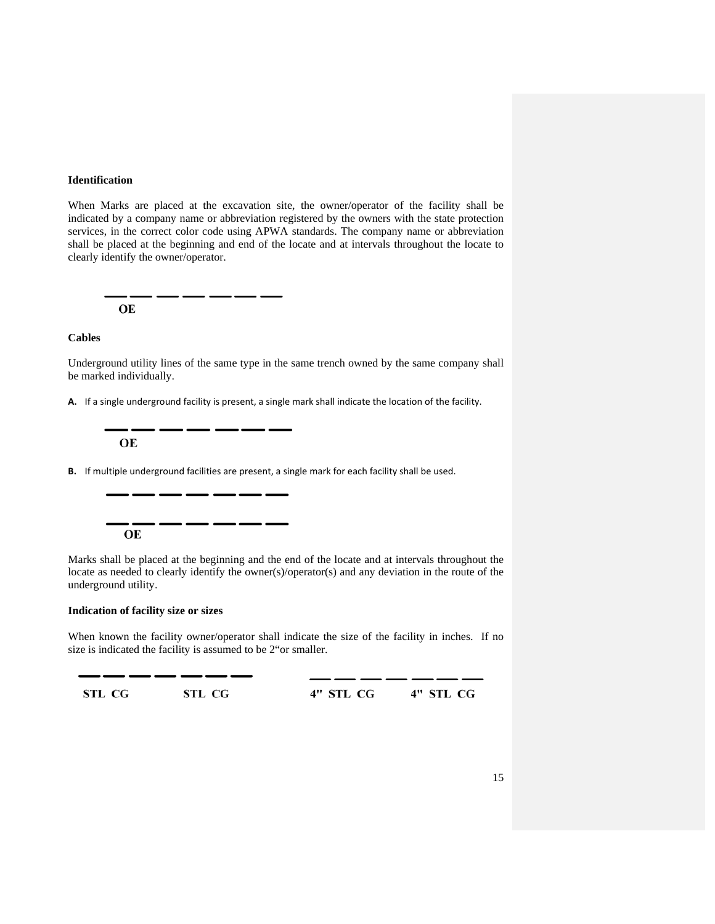# **Identification**

When Marks are placed at the excavation site, the owner/operator of the facility shall be indicated by a company name or abbreviation registered by the owners with the state protection services, in the correct color code using APWA standards. The company name or abbreviation shall be placed at the beginning and end of the locate and at intervals throughout the locate to clearly identify the owner/operator.

OE

#### **Cables**

Underground utility lines of the same type in the same trench owned by the same company shall be marked individually.

**A.** If a single underground facility is present, a single mark shall indicate the location of the facility.

OE

**B.** If multiple underground facilities are present, a single mark for each facility shall be used.

OE

Marks shall be placed at the beginning and the end of the locate and at intervals throughout the locate as needed to clearly identify the owner(s)/operator(s) and any deviation in the route of the underground utility.

# **Indication of facility size or sizes**

1

When known the facility owner/operator shall indicate the size of the facility in inches. If no size is indicated the facility is assumed to be 2"or smaller.

| STL CG | STL CG | 4" STL CG | 4" STL CG |
|--------|--------|-----------|-----------|
|        |        |           |           |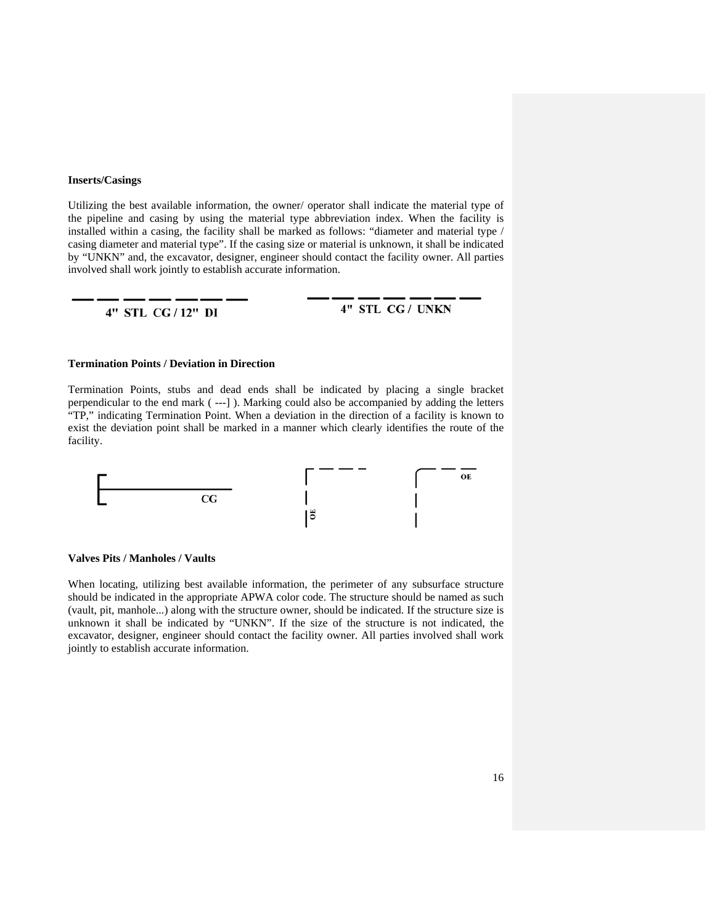### **Inserts/Casings**

Utilizing the best available information, the owner/ operator shall indicate the material type of the pipeline and casing by using the material type abbreviation index. When the facility is installed within a casing, the facility shall be marked as follows: "diameter and material type / casing diameter and material type". If the casing size or material is unknown, it shall be indicated by "UNKN" and, the excavator, designer, engineer should contact the facility owner. All parties involved shall work jointly to establish accurate information.

### 4" STL CG/12" DI

4" STL CG / UNKN

#### **Termination Points / Deviation in Direction**

Termination Points, stubs and dead ends shall be indicated by placing a single bracket perpendicular to the end mark ( ---] ). Marking could also be accompanied by adding the letters "TP," indicating Termination Point. When a deviation in the direction of a facility is known to exist the deviation point shall be marked in a manner which clearly identifies the route of the facility.



# **Valves Pits / Manholes / Vaults**

When locating, utilizing best available information, the perimeter of any subsurface structure should be indicated in the appropriate APWA color code. The structure should be named as such (vault, pit, manhole...) along with the structure owner, should be indicated. If the structure size is unknown it shall be indicated by "UNKN". If the size of the structure is not indicated, the excavator, designer, engineer should contact the facility owner. All parties involved shall work jointly to establish accurate information.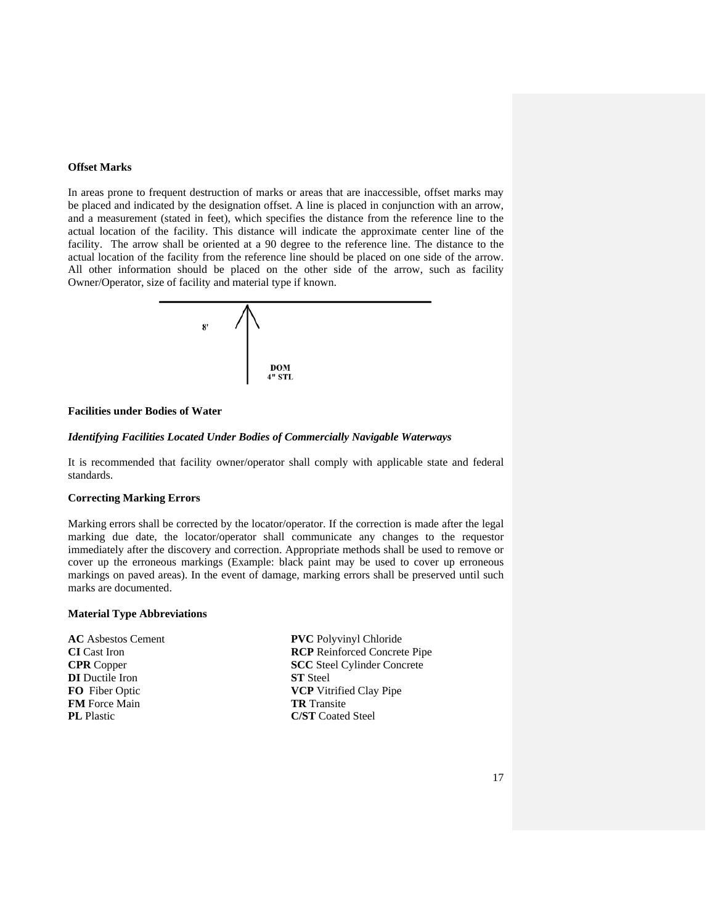# **Offset Marks**

In areas prone to frequent destruction of marks or areas that are inaccessible, offset marks may be placed and indicated by the designation offset. A line is placed in conjunction with an arrow, and a measurement (stated in feet), which specifies the distance from the reference line to the actual location of the facility. This distance will indicate the approximate center line of the facility. The arrow shall be oriented at a 90 degree to the reference line. The distance to the actual location of the facility from the reference line should be placed on one side of the arrow. All other information should be placed on the other side of the arrow, such as facility Owner/Operator, size of facility and material type if known.



# **Facilities under Bodies of Water**

#### *Identifying Facilities Located Under Bodies of Commercially Navigable Waterways*

It is recommended that facility owner/operator shall comply with applicable state and federal standards.

#### **Correcting Marking Errors**

Marking errors shall be corrected by the locator/operator. If the correction is made after the legal marking due date, the locator/operator shall communicate any changes to the requestor immediately after the discovery and correction. Appropriate methods shall be used to remove or cover up the erroneous markings (Example: black paint may be used to cover up erroneous markings on paved areas). In the event of damage, marking errors shall be preserved until such marks are documented.

#### **Material Type Abbreviations**

| <b>AC</b> Asbestos Cement |
|---------------------------|
| <b>CI</b> Cast Iron       |
| <b>CPR</b> Copper         |
| <b>DI</b> Ductile Iron    |
| <b>FO</b> Fiber Optic     |
| <b>FM</b> Force Main      |
| <b>PL</b> Plastic         |
|                           |

**PVC** Polyvinyl Chloride **RCP** Reinforced Concrete Pipe **SCC** Steel Cylinder Concrete **ST** Steel **VCP** Vitrified Clay Pipe **TR** Transite **C/ST** Coated Steel